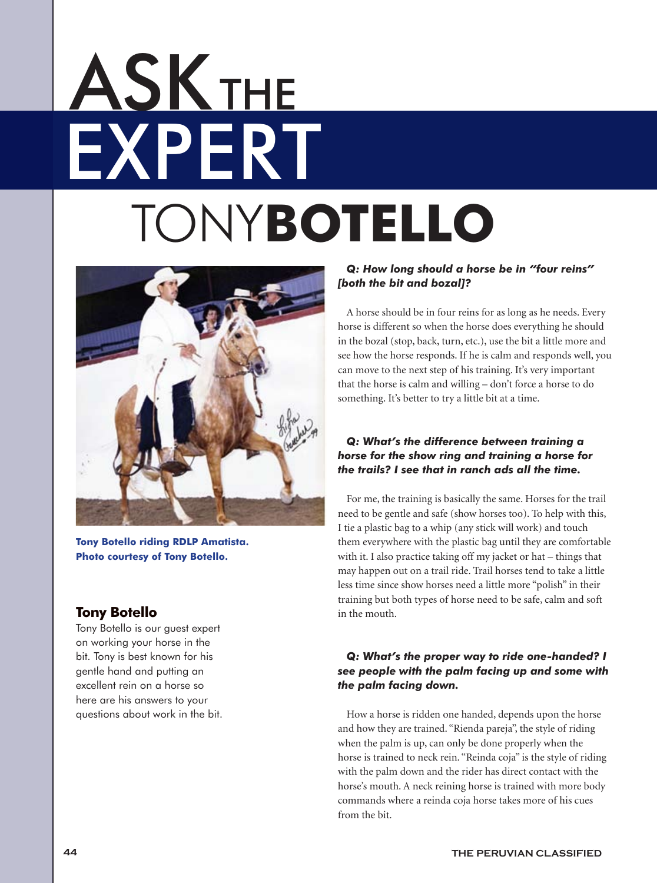# EXPERT **ASK THE** TONY**Botello**



**Tony Botello riding RDLP Amatista. Photo courtesy of Tony Botello.**

### **Tony Botello**

Tony Botello is our guest expert on working your horse in the bit. Tony is best known for his gentle hand and putting an excellent rein on a horse so here are his answers to your questions about work in the bit.

#### *Q: How long should a horse be in "four reins" [both the bit and bozal]?*

A horse should be in four reins for as long as he needs. Every horse is different so when the horse does everything he should in the bozal (stop, back, turn, etc.), use the bit a little more and see how the horse responds. If he is calm and responds well, you can move to the next step of his training. It's very important that the horse is calm and willing – don't force a horse to do something. It's better to try a little bit at a time.

### *Q: What's the difference between training a horse for the show ring and training a horse for the trails? I see that in ranch ads all the time.*

For me, the training is basically the same. Horses for the trail need to be gentle and safe (show horses too). To help with this, I tie a plastic bag to a whip (any stick will work) and touch them everywhere with the plastic bag until they are comfortable with it. I also practice taking off my jacket or hat – things that may happen out on a trail ride. Trail horses tend to take a little less time since show horses need a little more "polish" in their training but both types of horse need to be safe, calm and soft in the mouth.

### *Q: What's the proper way to ride one-handed? I see people with the palm facing up and some with the palm facing down.*

How a horse is ridden one handed, depends upon the horse and how they are trained. "Rienda pareja", the style of riding when the palm is up, can only be done properly when the horse is trained to neck rein. "Reinda coja" is the style of riding with the palm down and the rider has direct contact with the horse's mouth. A neck reining horse is trained with more body commands where a reinda coja horse takes more of his cues from the bit.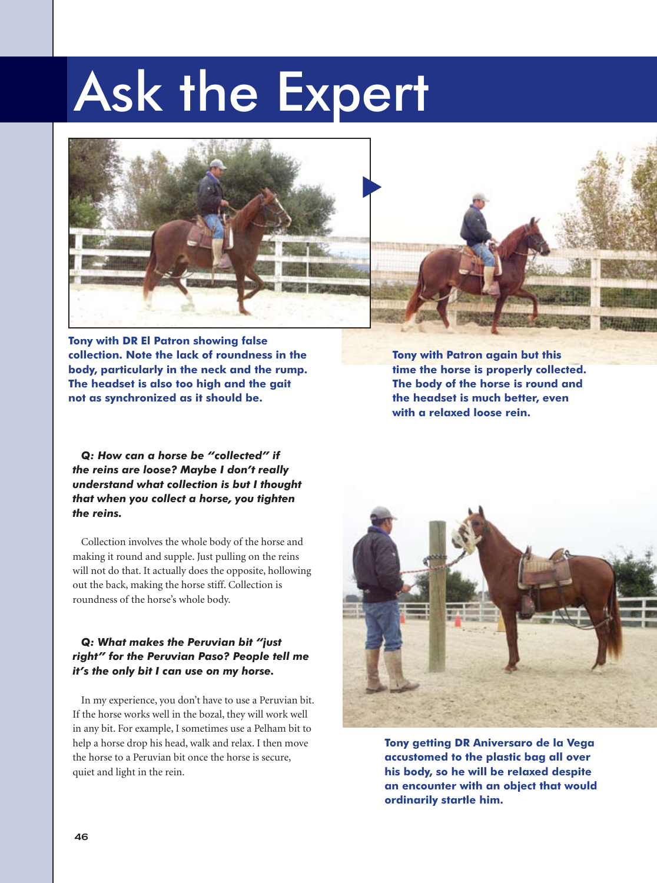### Ask the Expert



**Tony with DR El Patron showing false collection. Note the lack of roundness in the body, particularly in the neck and the rump. The headset is also too high and the gait not as synchronized as it should be.**

**Tony with Patron again but this time the horse is properly collected. The body of the horse is round and the headset is much better, even with a relaxed loose rein.**

*Q: How can a horse be "collected" if the reins are loose? Maybe I don't really understand what collection is but I thought that when you collect a horse, you tighten the reins.*

Collection involves the whole body of the horse and making it round and supple. Just pulling on the reins will not do that. It actually does the opposite, hollowing out the back, making the horse stiff. Collection is roundness of the horse's whole body.

#### *Q: What makes the Peruvian bit "just right" for the Peruvian Paso? People tell me it's the only bit I can use on my horse.*

In my experience, you don't have to use a Peruvian bit. If the horse works well in the bozal, they will work well in any bit. For example, I sometimes use a Pelham bit to help a horse drop his head, walk and relax. I then move the horse to a Peruvian bit once the horse is secure, quiet and light in the rein.



**Tony getting DR Aniversaro de la Vega accustomed to the plastic bag all over his body, so he will be relaxed despite an encounter with an object that would ordinarily startle him.**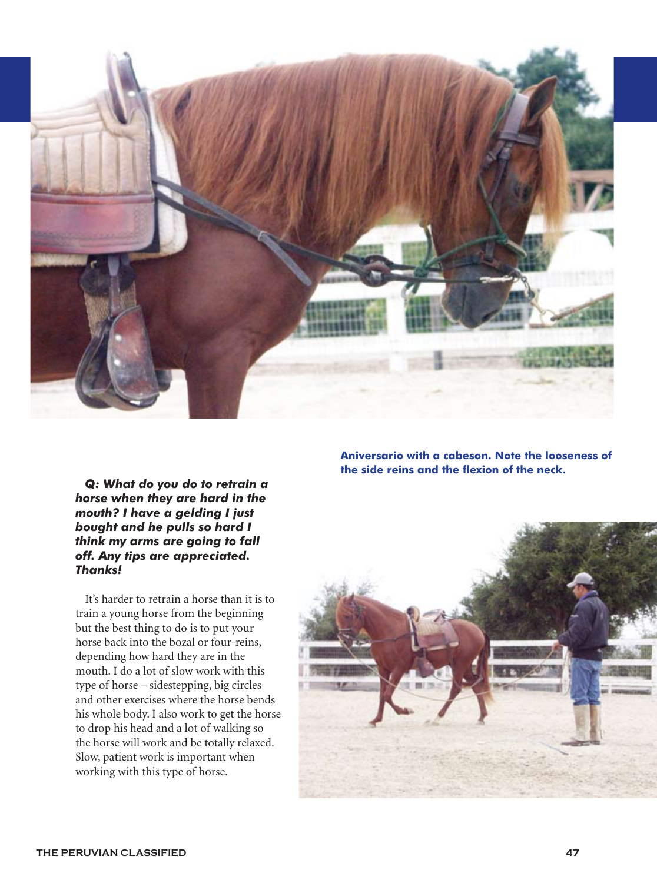

*Q: What do you do to retrain a horse when they are hard in the mouth? I have a gelding I just bought and he pulls so hard I think my arms are going to fall off. Any tips are appreciated. Thanks!*

It's harder to retrain a horse than it is to train a young horse from the beginning but the best thing to do is to put your horse back into the bozal or four-reins, depending how hard they are in the mouth. I do a lot of slow work with this type of horse – sidestepping, big circles and other exercises where the horse bends his whole body. I also work to get the horse to drop his head and a lot of walking so the horse will work and be totally relaxed. Slow, patient work is important when working with this type of horse.

**Aniversario with a cabeson. Note the looseness of the side reins and the flexion of the neck.**